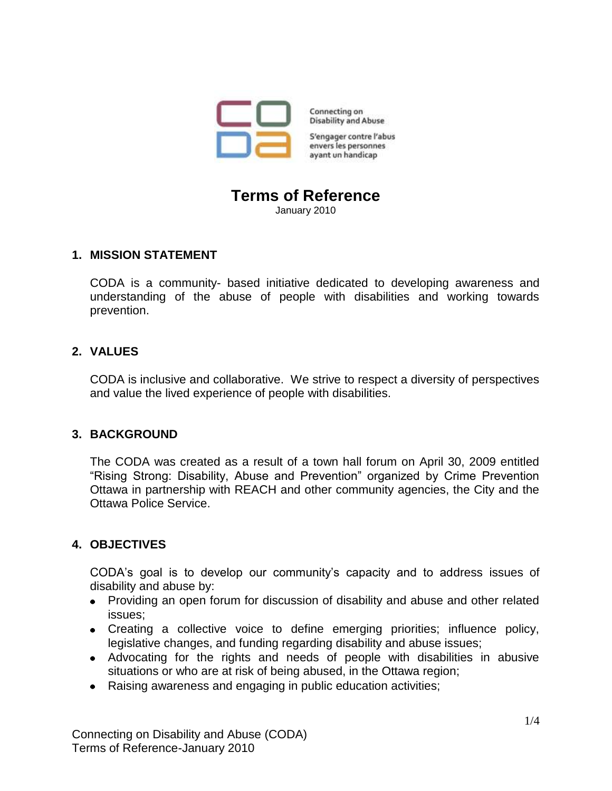

Connecting on **Disability and Abuse** 

S'engager contre l'abus envers les personnes ayant un handicap

# **Terms of Reference**

January 2010

## **1. MISSION STATEMENT**

CODA is a community- based initiative dedicated to developing awareness and understanding of the abuse of people with disabilities and working towards prevention.

# **2. VALUES**

CODA is inclusive and collaborative. We strive to respect a diversity of perspectives and value the lived experience of people with disabilities.

# **3. BACKGROUND**

The CODA was created as a result of a town hall forum on April 30, 2009 entitled "Rising Strong: Disability, Abuse and Prevention" organized by Crime Prevention Ottawa in partnership with REACH and other community agencies, the City and the Ottawa Police Service.

# **4. OBJECTIVES**

CODA's goal is to develop our community's capacity and to address issues of disability and abuse by:

- Providing an open forum for discussion of disability and abuse and other related issues;
- Creating a collective voice to define emerging priorities; influence policy, legislative changes, and funding regarding disability and abuse issues;
- Advocating for the rights and needs of people with disabilities in abusive situations or who are at risk of being abused, in the Ottawa region;
- Raising awareness and engaging in public education activities;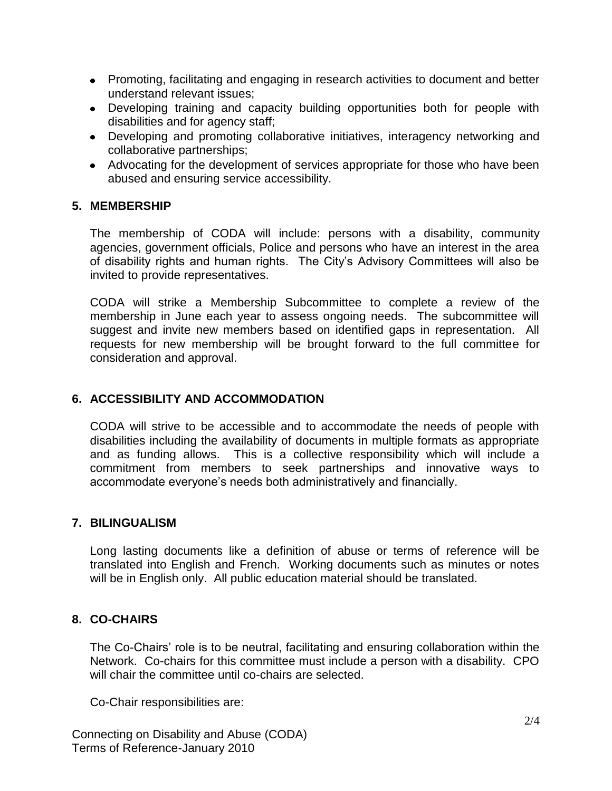- Promoting, facilitating and engaging in research activities to document and better understand relevant issues;
- Developing training and capacity building opportunities both for people with disabilities and for agency staff;
- Developing and promoting collaborative initiatives, interagency networking and collaborative partnerships;
- Advocating for the development of services appropriate for those who have been abused and ensuring service accessibility.

## **5. MEMBERSHIP**

The membership of CODA will include: persons with a disability, community agencies, government officials, Police and persons who have an interest in the area of disability rights and human rights. The City's Advisory Committees will also be invited to provide representatives.

CODA will strike a Membership Subcommittee to complete a review of the membership in June each year to assess ongoing needs. The subcommittee will suggest and invite new members based on identified gaps in representation. All requests for new membership will be brought forward to the full committee for consideration and approval.

## **6. ACCESSIBILITY AND ACCOMMODATION**

CODA will strive to be accessible and to accommodate the needs of people with disabilities including the availability of documents in multiple formats as appropriate and as funding allows. This is a collective responsibility which will include a commitment from members to seek partnerships and innovative ways to accommodate everyone's needs both administratively and financially.

#### **7. BILINGUALISM**

Long lasting documents like a definition of abuse or terms of reference will be translated into English and French. Working documents such as minutes or notes will be in English only. All public education material should be translated.

# **8. CO-CHAIRS**

The Co-Chairs' role is to be neutral, facilitating and ensuring collaboration within the Network. Co-chairs for this committee must include a person with a disability. CPO will chair the committee until co-chairs are selected.

Co-Chair responsibilities are:

Connecting on Disability and Abuse (CODA) Terms of Reference-January 2010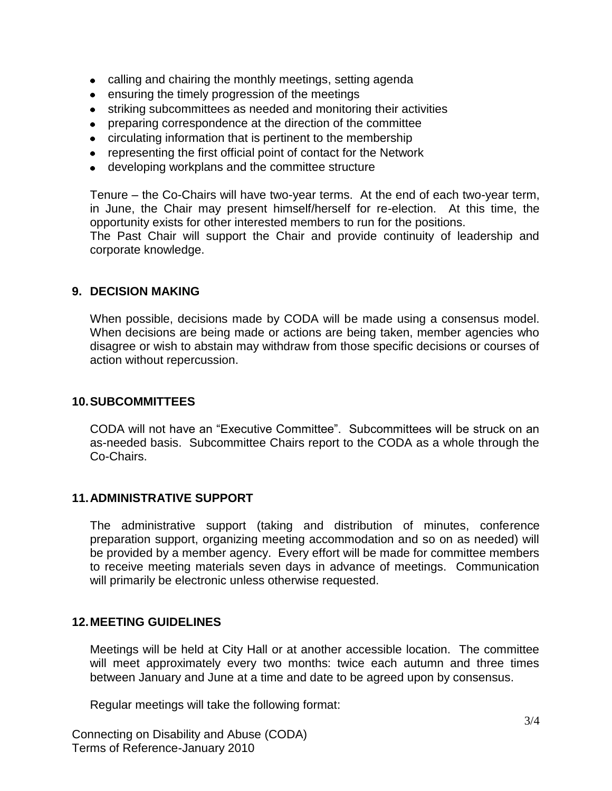- calling and chairing the monthly meetings, setting agenda
- ensuring the timely progression of the meetings
- striking subcommittees as needed and monitoring their activities
- preparing correspondence at the direction of the committee
- circulating information that is pertinent to the membership
- representing the first official point of contact for the Network
- developing workplans and the committee structure

Tenure – the Co-Chairs will have two-year terms. At the end of each two-year term, in June, the Chair may present himself/herself for re-election. At this time, the opportunity exists for other interested members to run for the positions.

The Past Chair will support the Chair and provide continuity of leadership and corporate knowledge.

#### **9. DECISION MAKING**

When possible, decisions made by CODA will be made using a consensus model. When decisions are being made or actions are being taken, member agencies who disagree or wish to abstain may withdraw from those specific decisions or courses of action without repercussion.

#### **10.SUBCOMMITTEES**

CODA will not have an "Executive Committee". Subcommittees will be struck on an as-needed basis. Subcommittee Chairs report to the CODA as a whole through the Co-Chairs.

#### **11.ADMINISTRATIVE SUPPORT**

The administrative support (taking and distribution of minutes, conference preparation support, organizing meeting accommodation and so on as needed) will be provided by a member agency. Every effort will be made for committee members to receive meeting materials seven days in advance of meetings. Communication will primarily be electronic unless otherwise requested.

#### **12.MEETING GUIDELINES**

Meetings will be held at City Hall or at another accessible location. The committee will meet approximately every two months: twice each autumn and three times between January and June at a time and date to be agreed upon by consensus.

Regular meetings will take the following format:

Connecting on Disability and Abuse (CODA) Terms of Reference-January 2010